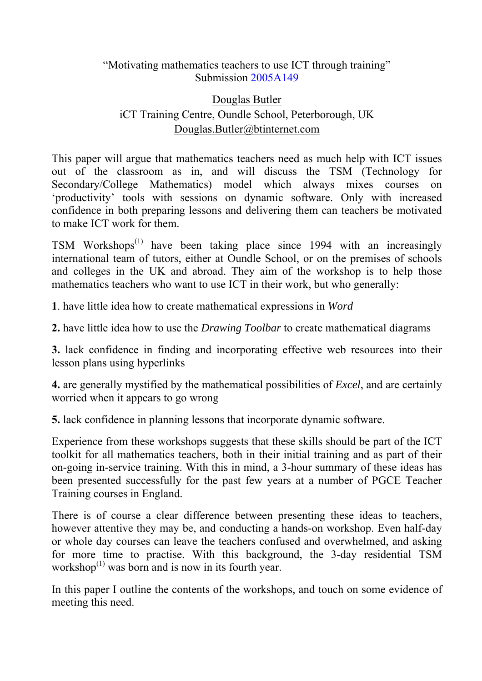### "Motivating mathematics teachers to use ICT through training" Submission 2005A149

# Douglas Butler iCT Training Centre, Oundle School, Peterborough, UK Douglas.Butler@btinternet.com

This paper will argue that mathematics teachers need as much help with ICT issues out of the classroom as in, and will discuss the TSM (Technology for Secondary/College Mathematics) model which always mixes courses on 'productivity' tools with sessions on dynamic software. Only with increased confidence in both preparing lessons and delivering them can teachers be motivated to make ICT work for them.

TSM Workshops<sup> $(1)$ </sup> have been taking place since 1994 with an increasingly international team of tutors, either at Oundle School, or on the premises of schools and colleges in the UK and abroad. They aim of the workshop is to help those mathematics teachers who want to use ICT in their work, but who generally:

**1**. have little idea how to create mathematical expressions in *Word*

**2.** have little idea how to use the *Drawing Toolbar* to create mathematical diagrams

**3.** lack confidence in finding and incorporating effective web resources into their lesson plans using hyperlinks

**4.** are generally mystified by the mathematical possibilities of *Excel*, and are certainly worried when it appears to go wrong

**5.** lack confidence in planning lessons that incorporate dynamic software.

Experience from these workshops suggests that these skills should be part of the ICT toolkit for all mathematics teachers, both in their initial training and as part of their on-going in-service training. With this in mind, a 3-hour summary of these ideas has been presented successfully for the past few years at a number of PGCE Teacher Training courses in England.

There is of course a clear difference between presenting these ideas to teachers, however attentive they may be, and conducting a hands-on workshop. Even half-day or whole day courses can leave the teachers confused and overwhelmed, and asking for more time to practise. With this background, the 3-day residential TSM workshop $^{(1)}$  was born and is now in its fourth year.

In this paper I outline the contents of the workshops, and touch on some evidence of meeting this need.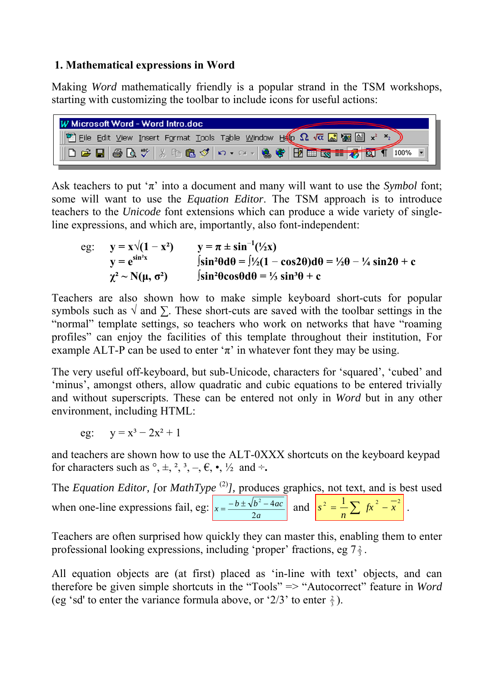## **1. Mathematical expressions in Word**

Making *Word* mathematically friendly is a popular strand in the TSM workshops, starting with customizing the toolbar to include icons for useful actions:

| W Microsoft Word - Word Intro.doc                                                                                          |
|----------------------------------------------------------------------------------------------------------------------------|
| <b>Eile</b> Edit View Insert Format Tools Table Window Hero $\Omega$ va a ve $\Xi$ and $\Xi$ x <sup>2</sup> x <sub>2</sub> |
| ID & B & B X & B O D . O . S & B B B S T A Q T 100%                                                                        |

Ask teachers to put ' $\pi$ ' into a document and many will want to use the *Symbol* font; some will want to use the *Equation Editor*. The TSM approach is to introduce teachers to the *Unicode* font extensions which can produce a wide variety of singleline expressions, and which are, importantly, also font-independent:

eg: 
$$
y = x\sqrt{(1 - x^2)}
$$
  $y = \pi \pm \sin^{-1}(\frac{1}{2}x)$   
\n $y = e^{\sin^2 x}$   $\int \sin^2\theta d\theta = \int \frac{1}{2}(1 - \cos 2\theta) d\theta = \frac{1}{2}\theta - \frac{1}{4} \sin 2\theta + c$   
\n $\chi^2 \sim N(\mu, \sigma^2)$   $\int \sin^2\theta \cos\theta d\theta = \frac{1}{3} \sin^3\theta + c$ 

Teachers are also shown how to make simple keyboard short-cuts for popular symbols such as  $\sqrt{ }$  and  $\Sigma$ . These short-cuts are saved with the toolbar settings in the "normal" template settings, so teachers who work on networks that have "roaming profiles" can enjoy the facilities of this template throughout their institution, For example ALT-P can be used to enter ' $\pi$ ' in whatever font they may be using.

The very useful off-keyboard, but sub-Unicode, characters for 'squared', 'cubed' and 'minus', amongst others, allow quadratic and cubic equations to be entered trivially and without superscripts. These can be entered not only in *Word* but in any other environment, including HTML:

eg:  $y = x^3 - 2x^2 + 1$ 

and teachers are shown how to use the ALT-0XXX shortcuts on the keyboard keypad for characters such as  $^{\circ}$ ,  $\pm$ ,  $^{2}$ ,  $^{3}$ ,  $-$ ,  $\in$ ,  $\bullet$ ,  $^{1}/_{2}$  and  $\div$ .

The *Equation Editor, [or MathType*<sup>(2)</sup>*]*, produces graphics, not text, and is best used when one-line expressions fail, eg: *a*  $x = \frac{-b \pm \sqrt{b^2 - 4ac}}{2}$ 2  $=\frac{-b\pm\sqrt{b^2-4ac}}{2}$  and  $s^2=\frac{1}{2}\sum x^2-\overline{x}^2$  $s^2 = \frac{1}{n} \sum f x^2 - \overline{x}^2$ .

Teachers are often surprised how quickly they can master this, enabling them to enter professional looking expressions, including 'proper' fractions, eg  $7\frac{2}{3}$ .

All equation objects are (at first) placed as 'in-line with text' objects, and can therefore be given simple shortcuts in the "Tools" => "Autocorrect" feature in *Word* (eg 'sd' to enter the variance formula above, or ' $2/3$ ' to enter  $\frac{2}{3}$ ).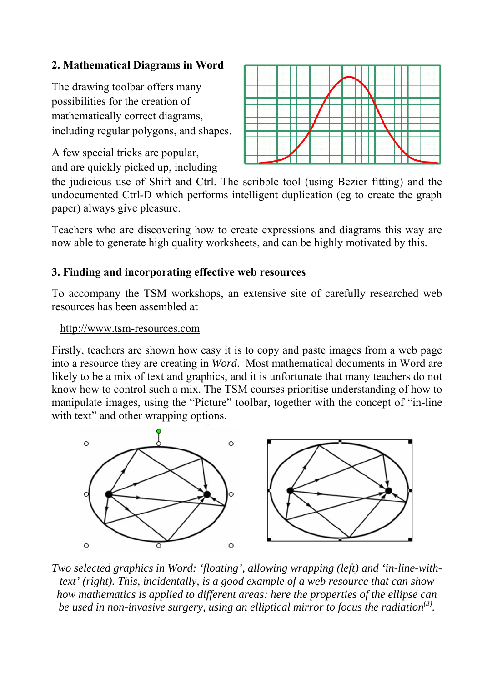## **2. Mathematical Diagrams in Word**

The drawing toolbar offers many possibilities for the creation of mathematically correct diagrams, including regular polygons, and shapes.

A few special tricks are popular, and are quickly picked up, including



the judicious use of Shift and Ctrl. The scribble tool (using Bezier fitting) and the undocumented Ctrl-D which performs intelligent duplication (eg to create the graph paper) always give pleasure.

Teachers who are discovering how to create expressions and diagrams this way are now able to generate high quality worksheets, and can be highly motivated by this.

## **3. Finding and incorporating effective web resources**

To accompany the TSM workshops, an extensive site of carefully researched web resources has been assembled at

#### http://www.tsm-resources.com

Firstly, teachers are shown how easy it is to copy and paste images from a web page into a resource they are creating in *Word*. Most mathematical documents in Word are likely to be a mix of text and graphics, and it is unfortunate that many teachers do not know how to control such a mix. The TSM courses prioritise understanding of how to manipulate images, using the "Picture" toolbar, together with the concept of "in-line with text" and other wrapping options.



*Two selected graphics in Word: 'floating', allowing wrapping (left) and 'in-line-withtext' (right). This, incidentally, is a good example of a web resource that can show how mathematics is applied to different areas: here the properties of the ellipse can be used in non-invasive surgery, using an elliptical mirror to focus the radiation(3) .*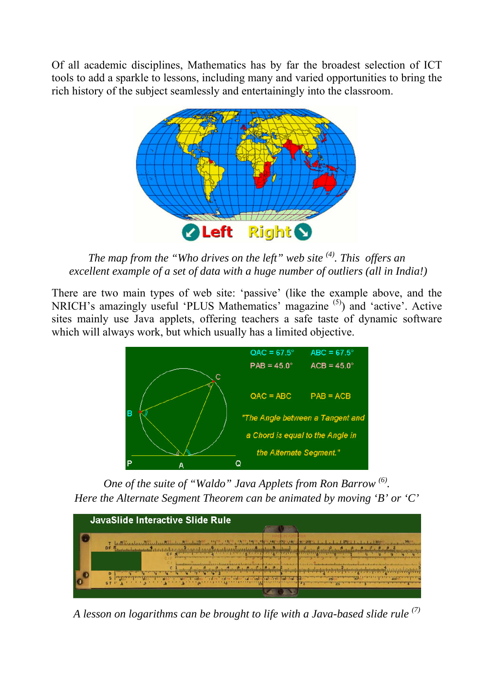Of all academic disciplines, Mathematics has by far the broadest selection of ICT tools to add a sparkle to lessons, including many and varied opportunities to bring the rich history of the subject seamlessly and entertainingly into the classroom.



*The map from the "Who drives on the left" web site (4) . This offers an excellent example of a set of data with a huge number of outliers (all in India!)* 

There are two main types of web site: 'passive' (like the example above, and the NRICH's amazingly useful 'PLUS Mathematics' magazine (5)) and 'active'. Active sites mainly use Java applets, offering teachers a safe taste of dynamic software which will always work, but which usually has a limited objective.



*One of the suite of "Waldo" Java Applets from Ron Barrow (6) . Here the Alternate Segment Theorem can be animated by moving 'B' or 'C'* 



*A lesson on logarithms can be brought to life with a Java-based slide rule (7)*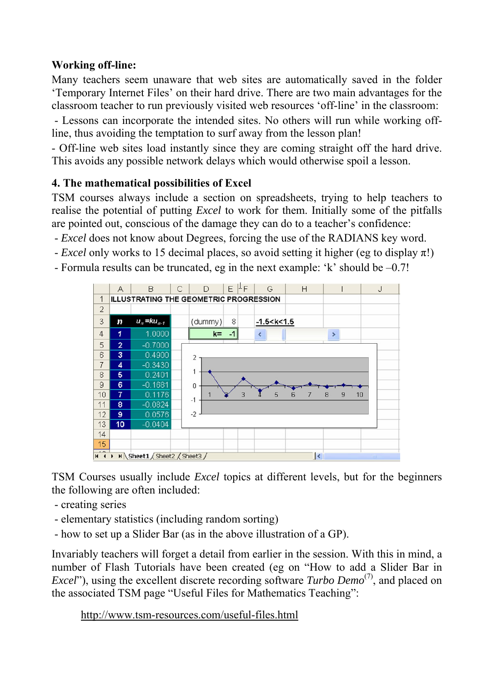## **Working off-line:**

Many teachers seem unaware that web sites are automatically saved in the folder 'Temporary Internet Files' on their hard drive. There are two main advantages for the classroom teacher to run previously visited web resources 'off-line' in the classroom:

- Lessons can incorporate the intended sites. No others will run while working offline, thus avoiding the temptation to surf away from the lesson plan!

- Off-line web sites load instantly since they are coming straight off the hard drive. This avoids any possible network delays which would otherwise spoil a lesson.

# **4. The mathematical possibilities of Excel**

TSM courses always include a section on spreadsheets, trying to help teachers to realise the potential of putting *Excel* to work for them. Initially some of the pitfalls are pointed out, conscious of the damage they can do to a teacher's confidence:

- *Excel* does not know about Degrees, forcing the use of the RADIANS key word.
- *Excel* only works to 15 decimal places, so avoid setting it higher (eg to display  $\pi$ !)
- Formula results can be truncated, eg in the next example: 'k' should be –0.7!



TSM Courses usually include *Excel* topics at different levels, but for the beginners the following are often included:

- creating series
- elementary statistics (including random sorting)
- how to set up a Slider Bar (as in the above illustration of a GP).

Invariably teachers will forget a detail from earlier in the session. With this in mind, a number of Flash Tutorials have been created (eg on "How to add a Slider Bar in *Excel*"), using the excellent discrete recording software *Turbo Demo*<sup>(7)</sup>, and placed on the associated TSM page "Useful Files for Mathematics Teaching":

http://www.tsm-resources.com/useful-files.html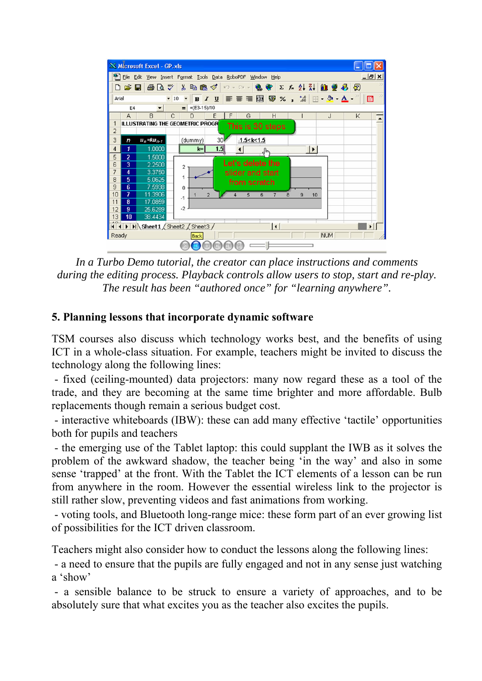

*In a Turbo Demo tutorial, the creator can place instructions and comments during the editing process. Playback controls allow users to stop, start and re-play. The result has been "authored once" for "learning anywhere".* 

#### **5. Planning lessons that incorporate dynamic software**

TSM courses also discuss which technology works best, and the benefits of using ICT in a whole-class situation. For example, teachers might be invited to discuss the technology along the following lines:

- fixed (ceiling-mounted) data projectors: many now regard these as a tool of the trade, and they are becoming at the same time brighter and more affordable. Bulb replacements though remain a serious budget cost.

- interactive whiteboards (IBW): these can add many effective 'tactile' opportunities both for pupils and teachers

- the emerging use of the Tablet laptop: this could supplant the IWB as it solves the problem of the awkward shadow, the teacher being 'in the way' and also in some sense 'trapped' at the front. With the Tablet the ICT elements of a lesson can be run from anywhere in the room. However the essential wireless link to the projector is still rather slow, preventing videos and fast animations from working.

 - voting tools, and Bluetooth long-range mice: these form part of an ever growing list of possibilities for the ICT driven classroom.

Teachers might also consider how to conduct the lessons along the following lines:

 - a need to ensure that the pupils are fully engaged and not in any sense just watching a 'show'

- a sensible balance to be struck to ensure a variety of approaches, and to be absolutely sure that what excites you as the teacher also excites the pupils.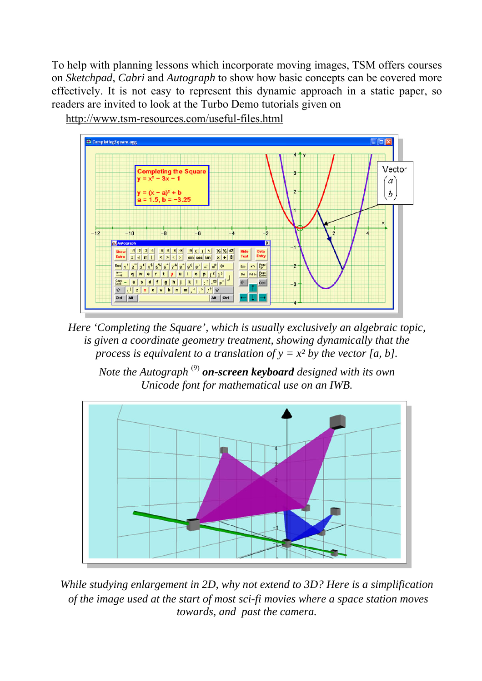To help with planning lessons which incorporate moving images, TSM offers courses on *Sketchpad*, *Cabri* and *Autograph* to show how basic concepts can be covered more effectively. It is not easy to represent this dynamic approach in a static paper, so readers are invited to look at the Turbo Demo tutorials given on

http://www.tsm-resources.com/useful-files.html



*Here 'Completing the Square', which is usually exclusively an algebraic topic, is given a coordinate geometry treatment, showing dynamically that the process is equivalent to a translation of*  $y = x^2$  *by the vector [a, b].* 

*Note the Autograph* (9) *on-screen keyboard designed with its own Unicode font for mathematical use on an IWB.* 



*While studying enlargement in 2D, why not extend to 3D? Here is a simplification of the image used at the start of most sci-fi movies where a space station moves towards, and past the camera.*